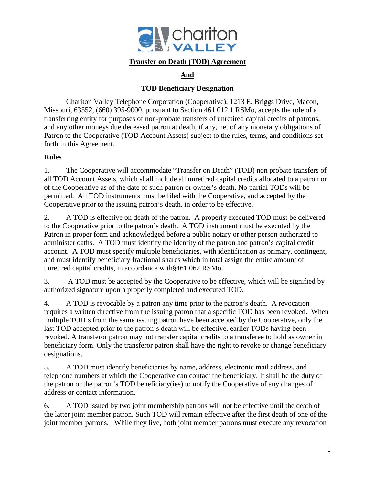

#### **Transfer on Death (TOD) Agreement**

## **And**

### **TOD Beneficiary Designation**

Chariton Valley Telephone Corporation (Cooperative), 1213 E. Briggs Drive, Macon, Missouri, 63552, (660) 395-9000, pursuant to Section 461.012.1 RSMo, accepts the role of a transferring entity for purposes of non-probate transfers of unretired capital credits of patrons, and any other moneys due deceased patron at death, if any, net of any monetary obligations of Patron to the Cooperative (TOD Account Assets) subject to the rules, terms, and conditions set forth in this Agreement.

#### **Rules**

1. The Cooperative will accommodate "Transfer on Death" (TOD) non probate transfers of all TOD Account Assets, which shall include all unretired capital credits allocated to a patron or of the Cooperative as of the date of such patron or owner's death. No partial TODs will be permitted. All TOD instruments must be filed with the Cooperative, and accepted by the Cooperative prior to the issuing patron's death, in order to be effective.

2. A TOD is effective on death of the patron. A properly executed TOD must be delivered to the Cooperative prior to the patron's death. A TOD instrument must be executed by the Patron in proper form and acknowledged before a public notary or other person authorized to administer oaths. A TOD must identify the identity of the patron and patron's capital credit account. A TOD must specify multiple beneficiaries, with identification as primary, contingent, and must identify beneficiary fractional shares which in total assign the entire amount of unretired capital credits, in accordance with§461.062 RSMo.

3. A TOD must be accepted by the Cooperative to be effective, which will be signified by authorized signature upon a properly completed and executed TOD.

4. A TOD is revocable by a patron any time prior to the patron's death. A revocation requires a written directive from the issuing patron that a specific TOD has been revoked. When multiple TOD's from the same issuing patron have been accepted by the Cooperative, only the last TOD accepted prior to the patron's death will be effective, earlier TODs having been revoked. A transferor patron may not transfer capital credits to a transferee to hold as owner in beneficiary form. Only the transferor patron shall have the right to revoke or change beneficiary designations.

5. A TOD must identify beneficiaries by name, address, electronic mail address, and telephone numbers at which the Cooperative can contact the beneficiary. It shall be the duty of the patron or the patron's TOD beneficiary(ies) to notify the Cooperative of any changes of address or contact information.

6. A TOD issued by two joint membership patrons will not be effective until the death of the latter joint member patron. Such TOD will remain effective after the first death of one of the joint member patrons. While they live, both joint member patrons must execute any revocation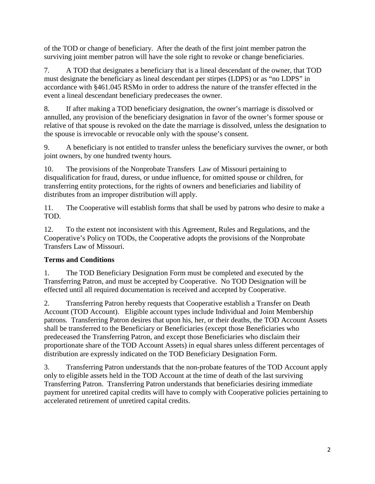of the TOD or change of beneficiary. After the death of the first joint member patron the surviving joint member patron will have the sole right to revoke or change beneficiaries.

7. A TOD that designates a beneficiary that is a lineal descendant of the owner, that TOD must designate the beneficiary as lineal descendant per stirpes (LDPS) or as "no LDPS" in accordance with §461.045 RSMo in order to address the nature of the transfer effected in the event a lineal descendant beneficiary predeceases the owner.

8. If after making a TOD beneficiary designation, the owner's marriage is dissolved or annulled, any provision of the beneficiary designation in favor of the owner's former spouse or relative of that spouse is revoked on the date the marriage is dissolved, unless the designation to the spouse is irrevocable or revocable only with the spouse's consent.

9. A beneficiary is not entitled to transfer unless the beneficiary survives the owner, or both joint owners, by one hundred twenty hours.

10. The provisions of the Nonprobate Transfers Law of Missouri pertaining to disqualification for fraud, duress, or undue influence, for omitted spouse or children, for transferring entity protections, for the rights of owners and beneficiaries and liability of distributes from an improper distribution will apply.

11. The Cooperative will establish forms that shall be used by patrons who desire to make a TOD.

12. To the extent not inconsistent with this Agreement, Rules and Regulations, and the Cooperative's Policy on TODs, the Cooperative adopts the provisions of the Nonprobate Transfers Law of Missouri.

# **Terms and Conditions**

1. The TOD Beneficiary Designation Form must be completed and executed by the Transferring Patron, and must be accepted by Cooperative. No TOD Designation will be effected until all required documentation is received and accepted by Cooperative.

2. Transferring Patron hereby requests that Cooperative establish a Transfer on Death Account (TOD Account). Eligible account types include Individual and Joint Membership patrons. Transferring Patron desires that upon his, her, or their deaths, the TOD Account Assets shall be transferred to the Beneficiary or Beneficiaries (except those Beneficiaries who predeceased the Transferring Patron, and except those Beneficiaries who disclaim their proportionate share of the TOD Account Assets) in equal shares unless different percentages of distribution are expressly indicated on the TOD Beneficiary Designation Form.

3. Transferring Patron understands that the non-probate features of the TOD Account apply only to eligible assets held in the TOD Account at the time of death of the last surviving Transferring Patron. Transferring Patron understands that beneficiaries desiring immediate payment for unretired capital credits will have to comply with Cooperative policies pertaining to accelerated retirement of unretired capital credits.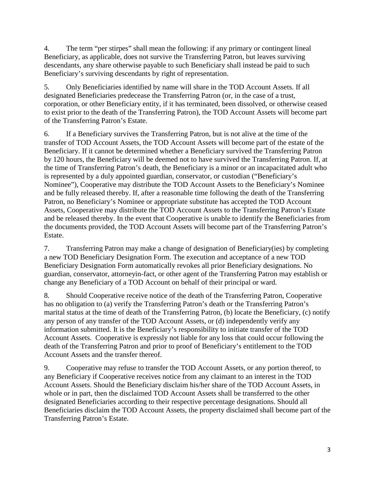4. The term "per stirpes" shall mean the following: if any primary or contingent lineal Beneficiary, as applicable, does not survive the Transferring Patron, but leaves surviving descendants, any share otherwise payable to such Beneficiary shall instead be paid to such Beneficiary's surviving descendants by right of representation.

5. Only Beneficiaries identified by name will share in the TOD Account Assets. If all designated Beneficiaries predecease the Transferring Patron (or, in the case of a trust, corporation, or other Beneficiary entity, if it has terminated, been dissolved, or otherwise ceased to exist prior to the death of the Transferring Patron), the TOD Account Assets will become part of the Transferring Patron's Estate.

6. If a Beneficiary survives the Transferring Patron, but is not alive at the time of the transfer of TOD Account Assets, the TOD Account Assets will become part of the estate of the Beneficiary. If it cannot be determined whether a Beneficiary survived the Transferring Patron by 120 hours, the Beneficiary will be deemed not to have survived the Transferring Patron. If, at the time of Transferring Patron's death, the Beneficiary is a minor or an incapacitated adult who is represented by a duly appointed guardian, conservator, or custodian ("Beneficiary's Nominee"), Cooperative may distribute the TOD Account Assets to the Beneficiary's Nominee and be fully released thereby. If, after a reasonable time following the death of the Transferring Patron, no Beneficiary's Nominee or appropriate substitute has accepted the TOD Account Assets, Cooperative may distribute the TOD Account Assets to the Transferring Patron's Estate and be released thereby. In the event that Cooperative is unable to identify the Beneficiaries from the documents provided, the TOD Account Assets will become part of the Transferring Patron's Estate.

7. Transferring Patron may make a change of designation of Beneficiary(ies) by completing a new TOD Beneficiary Designation Form. The execution and acceptance of a new TOD Beneficiary Designation Form automatically revokes all prior Beneficiary designations. No guardian, conservator, attorneyin-fact, or other agent of the Transferring Patron may establish or change any Beneficiary of a TOD Account on behalf of their principal or ward.

8. Should Cooperative receive notice of the death of the Transferring Patron, Cooperative has no obligation to (a) verify the Transferring Patron's death or the Transferring Patron's marital status at the time of death of the Transferring Patron, (b) locate the Beneficiary, (c) notify any person of any transfer of the TOD Account Assets, or (d) independently verify any information submitted. It is the Beneficiary's responsibility to initiate transfer of the TOD Account Assets. Cooperative is expressly not liable for any loss that could occur following the death of the Transferring Patron and prior to proof of Beneficiary's entitlement to the TOD Account Assets and the transfer thereof.

9. Cooperative may refuse to transfer the TOD Account Assets, or any portion thereof, to any Beneficiary if Cooperative receives notice from any claimant to an interest in the TOD Account Assets. Should the Beneficiary disclaim his/her share of the TOD Account Assets, in whole or in part, then the disclaimed TOD Account Assets shall be transferred to the other designated Beneficiaries according to their respective percentage designations. Should all Beneficiaries disclaim the TOD Account Assets, the property disclaimed shall become part of the Transferring Patron's Estate.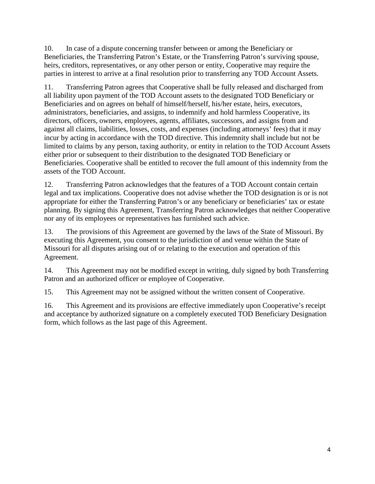10. In case of a dispute concerning transfer between or among the Beneficiary or Beneficiaries, the Transferring Patron's Estate, or the Transferring Patron's surviving spouse, heirs, creditors, representatives, or any other person or entity, Cooperative may require the parties in interest to arrive at a final resolution prior to transferring any TOD Account Assets.

11. Transferring Patron agrees that Cooperative shall be fully released and discharged from all liability upon payment of the TOD Account assets to the designated TOD Beneficiary or Beneficiaries and on agrees on behalf of himself/herself, his/her estate, heirs, executors, administrators, beneficiaries, and assigns, to indemnify and hold harmless Cooperative, its directors, officers, owners, employees, agents, affiliates, successors, and assigns from and against all claims, liabilities, losses, costs, and expenses (including attorneys' fees) that it may incur by acting in accordance with the TOD directive. This indemnity shall include but not be limited to claims by any person, taxing authority, or entity in relation to the TOD Account Assets either prior or subsequent to their distribution to the designated TOD Beneficiary or Beneficiaries. Cooperative shall be entitled to recover the full amount of this indemnity from the assets of the TOD Account.

12. Transferring Patron acknowledges that the features of a TOD Account contain certain legal and tax implications. Cooperative does not advise whether the TOD designation is or is not appropriate for either the Transferring Patron's or any beneficiary or beneficiaries' tax or estate planning. By signing this Agreement, Transferring Patron acknowledges that neither Cooperative nor any of its employees or representatives has furnished such advice.

13. The provisions of this Agreement are governed by the laws of the State of Missouri. By executing this Agreement, you consent to the jurisdiction of and venue within the State of Missouri for all disputes arising out of or relating to the execution and operation of this Agreement.

14. This Agreement may not be modified except in writing, duly signed by both Transferring Patron and an authorized officer or employee of Cooperative.

15. This Agreement may not be assigned without the written consent of Cooperative.

16. This Agreement and its provisions are effective immediately upon Cooperative's receipt and acceptance by authorized signature on a completely executed TOD Beneficiary Designation form, which follows as the last page of this Agreement.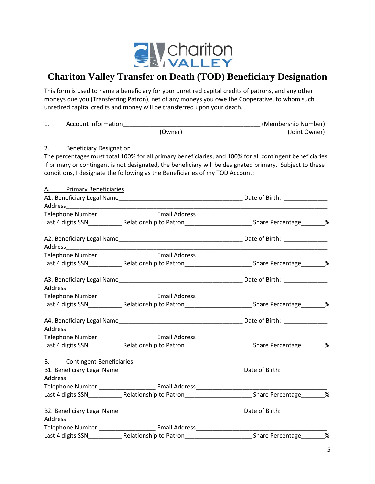

# **Chariton Valley Transfer on Death (TOD) Beneficiary Designation**

This form is used to name a beneficiary for your unretired capital credits of patrons, and any other moneys due you (Transferring Patron), net of any moneys you owe the Cooperative, to whom such unretired capital credits and money will be transferred upon your death.

| 1. |                                    |                                                                                  |                                                                                                                                                                                                                       |
|----|------------------------------------|----------------------------------------------------------------------------------|-----------------------------------------------------------------------------------------------------------------------------------------------------------------------------------------------------------------------|
|    |                                    |                                                                                  |                                                                                                                                                                                                                       |
| 2. | <b>Beneficiary Designation</b>     | conditions, I designate the following as the Beneficiaries of my TOD Account:    | The percentages must total 100% for all primary beneficiaries, and 100% for all contingent beneficiaries.<br>If primary or contingent is not designated, the beneficiary will be designated primary. Subject to these |
|    | A. Primary Beneficiaries           |                                                                                  |                                                                                                                                                                                                                       |
|    |                                    |                                                                                  |                                                                                                                                                                                                                       |
|    |                                    |                                                                                  |                                                                                                                                                                                                                       |
|    |                                    |                                                                                  |                                                                                                                                                                                                                       |
|    |                                    |                                                                                  |                                                                                                                                                                                                                       |
|    |                                    |                                                                                  |                                                                                                                                                                                                                       |
|    |                                    |                                                                                  |                                                                                                                                                                                                                       |
|    |                                    |                                                                                  | Last 4 digits SSN______________Relationship to Patron__________________________Share Percentage________%                                                                                                              |
|    |                                    |                                                                                  |                                                                                                                                                                                                                       |
|    |                                    |                                                                                  |                                                                                                                                                                                                                       |
|    |                                    |                                                                                  | Last 4 digits SSN_______________Relationship to Patron__________________________Share Percentage_________%                                                                                                            |
|    |                                    |                                                                                  |                                                                                                                                                                                                                       |
|    |                                    |                                                                                  |                                                                                                                                                                                                                       |
|    |                                    |                                                                                  | Last 4 digits SSN______________Relationship to Patron__________________________Share Percentage________%                                                                                                              |
|    | <b>B.</b> Contingent Beneficiaries |                                                                                  |                                                                                                                                                                                                                       |
|    |                                    | Telephone Number __________________________ Email Address_______________________ |                                                                                                                                                                                                                       |
|    |                                    |                                                                                  | Last 4 digits SSN_______________Relationship to Patron__________________________Share Percentage________%                                                                                                             |
|    |                                    |                                                                                  |                                                                                                                                                                                                                       |